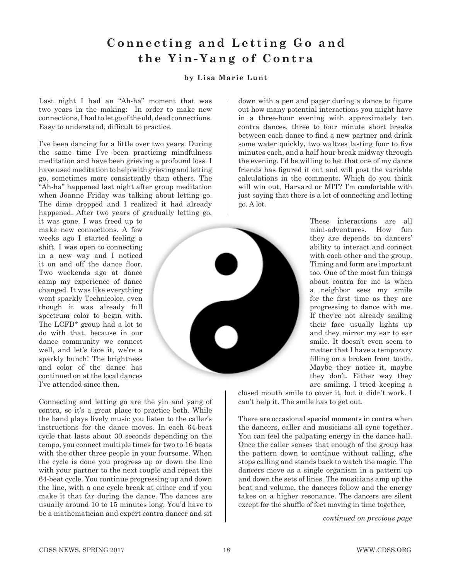## Connecting and Letting Go and **the Yin-Yang of Contra**

## **by Lisa Marie Lunt**

Last night I had an "Ah-ha" moment that was two years in the making: In order to make new connections, I had to let go of the old, dead connections. Easy to understand, difficult to practice.

I've been dancing for a little over two years. During the same time I've been practicing mindfulness meditation and have been grieving a profound loss. I have used meditation to help with grieving and letting go, sometimes more consistently than others. The "Ah-ha" happened last night after group meditation when Joanne Friday was talking about letting go. The dime dropped and I realized it had already happened. After two years of gradually letting go,

it was gone. I was freed up to make new connections. A few weeks ago I started feeling a shift. I was open to connecting in a new way and I noticed it on and off the dance floor. Two weekends ago at dance camp my experience of dance changed. It was like everything went sparkly Technicolor, even though it was already full spectrum color to begin with. The LCFD\* group had a lot to do with that, because in our dance community we connect well, and let's face it, we're a sparkly bunch! The brightness and color of the dance has continued on at the local dances I've attended since then.

Connecting and letting go are the yin and yang of contra, so it's a great place to practice both. While the band plays lively music you listen to the caller's instructions for the dance moves. In each 64-beat cycle that lasts about 30 seconds depending on the tempo, you connect multiple times for two to 16 beats with the other three people in your foursome. When the cycle is done you progress up or down the line with your partner to the next couple and repeat the 64-beat cycle. You continue progressing up and down the line, with a one cycle break at either end if you make it that far during the dance. The dances are usually around 10 to 15 minutes long. You'd have to be a mathematician and expert contra dancer and sit

down with a pen and paper during a dance to figure out how many potential interactions you might have in a three-hour evening with approximately ten contra dances, three to four minute short breaks between each dance to find a new partner and drink some water quickly, two waltzes lasting four to five minutes each, and a half hour break midway through the evening. I'd be willing to bet that one of my dance friends has figured it out and will post the variable calculations in the comments. Which do you think will win out, Harvard or MIT? I'm comfortable with just saying that there is a lot of connecting and letting go. A lot.



These interactions are all mini-adventures. How fun they are depends on dancers' ability to interact and connect with each other and the group. Timing and form are important too. One of the most fun things about contra for me is when a neighbor sees my smile for the first time as they are progressing to dance with me. If they're not already smiling their face usually lights up and they mirror my ear to ear smile. It doesn't even seem to matter that I have a temporary filling on a broken front tooth. Maybe they notice it, maybe they don't. Either way they are smiling. I tried keeping a

closed mouth smile to cover it, but it didn't work. I can't help it. The smile has to get out.

There are occasional special moments in contra when the dancers, caller and musicians all sync together. You can feel the palpating energy in the dance hall. Once the caller senses that enough of the group has the pattern down to continue without calling, s/he stops calling and stands back to watch the magic. The dancers move as a single organism in a pattern up and down the sets of lines. The musicians amp up the beat and volume, the dancers follow and the energy takes on a higher resonance. The dancers are silent except for the shuffle of feet moving in time together,

*continued on previous page*